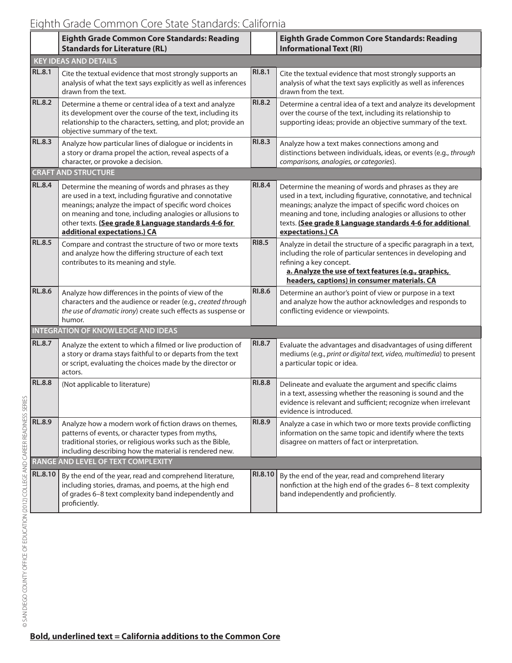|                                           | Eighth Grade Common Core Standards: Reading<br><b>Standards for Literature (RL)</b>                                                                                                                                                                                                                                         |               | <b>Eighth Grade Common Core Standards: Reading</b><br><b>Informational Text (RI)</b>                                                                                                                                                                                                                                                    |  |  |  |
|-------------------------------------------|-----------------------------------------------------------------------------------------------------------------------------------------------------------------------------------------------------------------------------------------------------------------------------------------------------------------------------|---------------|-----------------------------------------------------------------------------------------------------------------------------------------------------------------------------------------------------------------------------------------------------------------------------------------------------------------------------------------|--|--|--|
|                                           | <b>KEY IDEAS AND DETAILS</b>                                                                                                                                                                                                                                                                                                |               |                                                                                                                                                                                                                                                                                                                                         |  |  |  |
| <b>RL.8.1</b>                             | Cite the textual evidence that most strongly supports an<br>analysis of what the text says explicitly as well as inferences<br>drawn from the text.                                                                                                                                                                         | <b>RI.8.1</b> | Cite the textual evidence that most strongly supports an<br>analysis of what the text says explicitly as well as inferences<br>drawn from the text.                                                                                                                                                                                     |  |  |  |
| <b>RL.8.2</b>                             | Determine a theme or central idea of a text and analyze<br>its development over the course of the text, including its<br>relationship to the characters, setting, and plot; provide an<br>objective summary of the text.                                                                                                    | <b>RI.8.2</b> | Determine a central idea of a text and analyze its development<br>over the course of the text, including its relationship to<br>supporting ideas; provide an objective summary of the text.                                                                                                                                             |  |  |  |
| <b>RL.8.3</b>                             | Analyze how particular lines of dialogue or incidents in<br>a story or drama propel the action, reveal aspects of a<br>character, or provoke a decision.                                                                                                                                                                    | RI.8.3        | Analyze how a text makes connections among and<br>distinctions between individuals, ideas, or events (e.g., through<br>comparisons, analogies, or categories).                                                                                                                                                                          |  |  |  |
|                                           | <b>CRAFT AND STRUCTURE</b>                                                                                                                                                                                                                                                                                                  |               |                                                                                                                                                                                                                                                                                                                                         |  |  |  |
| <b>RL.8.4</b>                             | Determine the meaning of words and phrases as they<br>are used in a text, including figurative and connotative<br>meanings; analyze the impact of specific word choices<br>on meaning and tone, including analogies or allusions to<br>other texts. (See grade 8 Language standards 4-6 for<br>additional expectations.) CA | <b>RI.8.4</b> | Determine the meaning of words and phrases as they are<br>used in a text, including figurative, connotative, and technical<br>meanings; analyze the impact of specific word choices on<br>meaning and tone, including analogies or allusions to other<br>texts. (See grade 8 Language standards 4-6 for additional<br>expectations.) CA |  |  |  |
| <b>RL.8.5</b>                             | Compare and contrast the structure of two or more texts<br>and analyze how the differing structure of each text<br>contributes to its meaning and style.                                                                                                                                                                    | <b>RI8.5</b>  | Analyze in detail the structure of a specific paragraph in a text,<br>including the role of particular sentences in developing and<br>refining a key concept.<br>a. Analyze the use of text features (e.g., graphics,<br>headers, captions) in consumer materials. CA                                                                   |  |  |  |
| <b>RL.8.6</b>                             | Analyze how differences in the points of view of the<br>characters and the audience or reader (e.g., created through<br>the use of dramatic irony) create such effects as suspense or<br>humor.                                                                                                                             | <b>RI.8.6</b> | Determine an author's point of view or purpose in a text<br>and analyze how the author acknowledges and responds to<br>conflicting evidence or viewpoints.                                                                                                                                                                              |  |  |  |
| <b>INTEGRATION OF KNOWLEDGE AND IDEAS</b> |                                                                                                                                                                                                                                                                                                                             |               |                                                                                                                                                                                                                                                                                                                                         |  |  |  |
| <b>RL.8.7</b>                             | Analyze the extent to which a filmed or live production of<br>a story or drama stays faithful to or departs from the text<br>or script, evaluating the choices made by the director or<br>actors.                                                                                                                           | <b>RI.8.7</b> | Evaluate the advantages and disadvantages of using different<br>mediums (e.g., print or digital text, video, multimedia) to present<br>a particular topic or idea.                                                                                                                                                                      |  |  |  |
| <b>RL.8.8</b>                             | (Not applicable to literature)                                                                                                                                                                                                                                                                                              | RI.8.8        | Delineate and evaluate the argument and specific claims<br>in a text, assessing whether the reasoning is sound and the<br>evidence is relevant and sufficient; recognize when irrelevant<br>evidence is introduced.                                                                                                                     |  |  |  |
| <b>RL.8.9</b>                             | Analyze how a modern work of fiction draws on themes,<br>patterns of events, or character types from myths,<br>traditional stories, or religious works such as the Bible,<br>including describing how the material is rendered new.                                                                                         | RI.8.9        | Analyze a case in which two or more texts provide conflicting<br>information on the same topic and identify where the texts<br>disagree on matters of fact or interpretation.                                                                                                                                                           |  |  |  |
| RANGE AND LEVEL OF TEXT COMPLEXITY        |                                                                                                                                                                                                                                                                                                                             |               |                                                                                                                                                                                                                                                                                                                                         |  |  |  |
| RL.8.10                                   | By the end of the year, read and comprehend literature,<br>including stories, dramas, and poems, at the high end<br>of grades 6-8 text complexity band independently and<br>proficiently.                                                                                                                                   | RI.8.10       | By the end of the year, read and comprehend literary<br>nonfiction at the high end of the grades 6-8 text complexity<br>band independently and proficiently.                                                                                                                                                                            |  |  |  |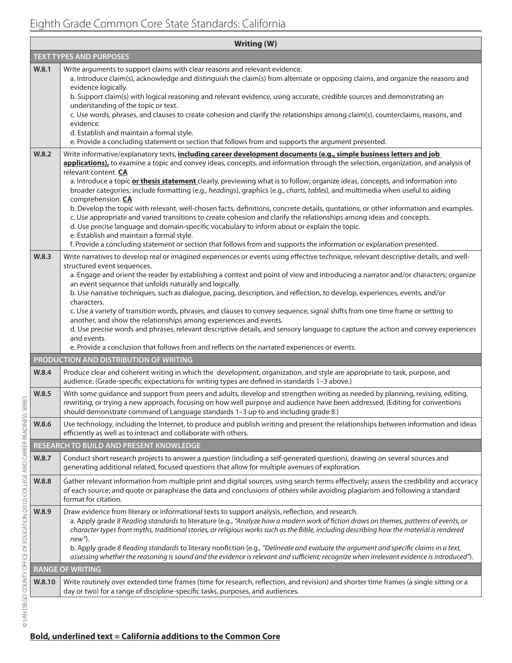## Eighth Grade Common Core State Standards: California

| <b>Writing (W)</b> |                                                                                                                                                                                                                                                                                                                                                                                                                                                                                                                                                                                                                                                                                                                                                                                                                                                                                                                                                                                                                                                                                                                 |  |  |  |
|--------------------|-----------------------------------------------------------------------------------------------------------------------------------------------------------------------------------------------------------------------------------------------------------------------------------------------------------------------------------------------------------------------------------------------------------------------------------------------------------------------------------------------------------------------------------------------------------------------------------------------------------------------------------------------------------------------------------------------------------------------------------------------------------------------------------------------------------------------------------------------------------------------------------------------------------------------------------------------------------------------------------------------------------------------------------------------------------------------------------------------------------------|--|--|--|
|                    | <b>TEXT TYPES AND PURPOSES</b>                                                                                                                                                                                                                                                                                                                                                                                                                                                                                                                                                                                                                                                                                                                                                                                                                                                                                                                                                                                                                                                                                  |  |  |  |
| W.8.1              | Write arguments to support claims with clear reasons and relevant evidence.<br>a. Introduce claim(s), acknowledge and distinguish the claim(s) from alternate or opposing claims, and organize the reasons and<br>evidence logically.<br>b. Support claim(s) with logical reasoning and relevant evidence, using accurate, credible sources and demonstrating an<br>understanding of the topic or text.<br>c. Use words, phrases, and clauses to create cohesion and clarify the relationships among claim(s), counterclaims, reasons, and<br>evidence.<br>d. Establish and maintain a formal style.<br>e. Provide a concluding statement or section that follows from and supports the argument presented.                                                                                                                                                                                                                                                                                                                                                                                                     |  |  |  |
| W.8.2              | Write informative/explanatory texts, including career development documents (e.g., simple business letters and job<br>applications), to examine a topic and convey ideas, concepts, and information through the selection, organization, and analysis of<br>relevant content. CA<br>a. Introduce a topic or thesis statement clearly, previewing what is to follow; organize ideas, concepts, and information into<br>broader categories; include formatting (e.g., headings), graphics (e.g., charts, tables), and multimedia when useful to aiding<br>comprehension. CA<br>b. Develop the topic with relevant, well-chosen facts, definitions, concrete details, quotations, or other information and examples.<br>c. Use appropriate and varied transitions to create cohesion and clarify the relationships among ideas and concepts.<br>d. Use precise language and domain-specific vocabulary to inform about or explain the topic.<br>e. Establish and maintain a formal style.<br>f. Provide a concluding statement or section that follows from and supports the information or explanation presented. |  |  |  |
| W.8.3              | Write narratives to develop real or imagined experiences or events using effective technique, relevant descriptive details, and well-<br>structured event sequences.<br>a. Engage and orient the reader by establishing a context and point of view and introducing a narrator and/or characters; organize<br>an event sequence that unfolds naturally and logically.<br>b. Use narrative techniques, such as dialogue, pacing, description, and reflection, to develop, experiences, events, and/or<br>characters.<br>c. Use a variety of transition words, phrases, and clauses to convey sequence, signal shifts from one time frame or setting to<br>another, and show the relationships among experiences and events.<br>d. Use precise words and phrases, relevant descriptive details, and sensory language to capture the action and convey experiences<br>and events.<br>e. Provide a conclusion that follows from and reflects on the narrated experiences or events.                                                                                                                                 |  |  |  |
|                    | <b>PRODUCTION AND DISTRIBUTION OF WRITING</b>                                                                                                                                                                                                                                                                                                                                                                                                                                                                                                                                                                                                                                                                                                                                                                                                                                                                                                                                                                                                                                                                   |  |  |  |
| W.8.4              | Produce clear and coherent writing in which the development, organization, and style are appropriate to task, purpose, and<br>audience. (Grade-specific expectations for writing types are defined in standards 1-3 above.)                                                                                                                                                                                                                                                                                                                                                                                                                                                                                                                                                                                                                                                                                                                                                                                                                                                                                     |  |  |  |
| W.8.5              | With some guidance and support from peers and adults, develop and strengthen writing as needed by planning, revising, editing,<br>rewriting, or trying a new approach, focusing on how well purpose and audience have been addressed. (Editing for conventions<br>should demonstrate command of Language standards 1-3 up to and including grade 8.)                                                                                                                                                                                                                                                                                                                                                                                                                                                                                                                                                                                                                                                                                                                                                            |  |  |  |
| W.8.6              | Use technology, including the Internet, to produce and publish writing and present the relationships between information and ideas<br>efficiently as well as to interact and collaborate with others.                                                                                                                                                                                                                                                                                                                                                                                                                                                                                                                                                                                                                                                                                                                                                                                                                                                                                                           |  |  |  |
|                    | RESEARCH TO BUILD AND PRESENT KNOWLEDGE                                                                                                                                                                                                                                                                                                                                                                                                                                                                                                                                                                                                                                                                                                                                                                                                                                                                                                                                                                                                                                                                         |  |  |  |
| W.8.7              | Conduct short research projects to answer a question (including a self-generated question), drawing on several sources and<br>generating additional related, focused questions that allow for multiple avenues of exploration.                                                                                                                                                                                                                                                                                                                                                                                                                                                                                                                                                                                                                                                                                                                                                                                                                                                                                  |  |  |  |
| W.8.8              | Gather relevant information from multiple print and digital sources, using search terms effectively; assess the credibility and accuracy<br>of each source; and quote or paraphrase the data and conclusions of others while avoiding plagiarism and following a standard<br>format for citation.                                                                                                                                                                                                                                                                                                                                                                                                                                                                                                                                                                                                                                                                                                                                                                                                               |  |  |  |
| W.8.9              | Draw evidence from literary or informational texts to support analysis, reflection, and research.<br>a. Apply grade 8 Reading standards to literature (e.g., "Analyze how a modern work of fiction draws on themes, patterns of events, or<br>character types from myths, traditional stories, or religious works such as the Bible, including describing how the material is rendered<br>new").<br>b. Apply grade 8 Reading standards to literary nonfiction (e.g., "Delineate and evaluate the argument and specific claims in a text,<br>assessing whether the reasoning is sound and the evidence is relevant and sufficient; recognize when irrelevant evidence is introduced").                                                                                                                                                                                                                                                                                                                                                                                                                           |  |  |  |
|                    | <b>RANGE OF WRITING</b>                                                                                                                                                                                                                                                                                                                                                                                                                                                                                                                                                                                                                                                                                                                                                                                                                                                                                                                                                                                                                                                                                         |  |  |  |
| W.8.10             | Write routinely over extended time frames (time for research, reflection, and revision) and shorter time frames (a single sitting or a<br>day or two) for a range of discipline-specific tasks, purposes, and audiences.                                                                                                                                                                                                                                                                                                                                                                                                                                                                                                                                                                                                                                                                                                                                                                                                                                                                                        |  |  |  |
|                    |                                                                                                                                                                                                                                                                                                                                                                                                                                                                                                                                                                                                                                                                                                                                                                                                                                                                                                                                                                                                                                                                                                                 |  |  |  |

## **Bold, underlined text = California additions to the Common Core**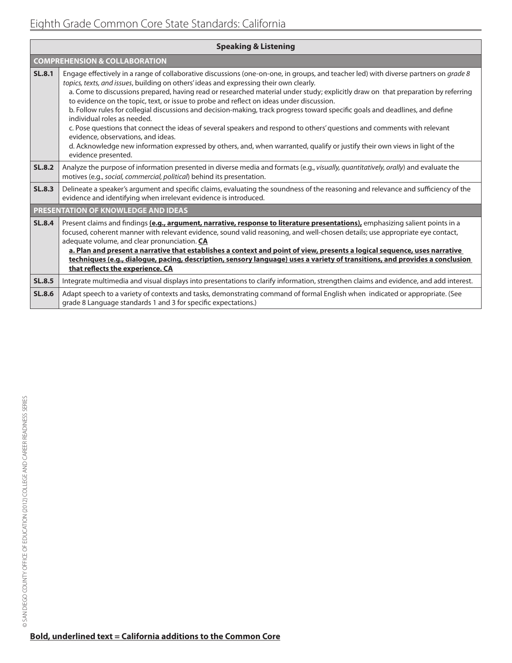| <b>Speaking &amp; Listening</b>          |                                                                                                                                                                                                                                                                                                                                                                                                                                                                                                                                                                                                                                                                                                                                                                                                                                                                                                                                                         |  |  |  |
|------------------------------------------|---------------------------------------------------------------------------------------------------------------------------------------------------------------------------------------------------------------------------------------------------------------------------------------------------------------------------------------------------------------------------------------------------------------------------------------------------------------------------------------------------------------------------------------------------------------------------------------------------------------------------------------------------------------------------------------------------------------------------------------------------------------------------------------------------------------------------------------------------------------------------------------------------------------------------------------------------------|--|--|--|
| <b>COMPREHENSION &amp; COLLABORATION</b> |                                                                                                                                                                                                                                                                                                                                                                                                                                                                                                                                                                                                                                                                                                                                                                                                                                                                                                                                                         |  |  |  |
| <b>SL.8.1</b>                            | Engage effectively in a range of collaborative discussions (one-on-one, in groups, and teacher led) with diverse partners on grade 8<br>topics, texts, and issues, building on others' ideas and expressing their own clearly.<br>a. Come to discussions prepared, having read or researched material under study; explicitly draw on that preparation by referring<br>to evidence on the topic, text, or issue to probe and reflect on ideas under discussion.<br>b. Follow rules for collegial discussions and decision-making, track progress toward specific goals and deadlines, and define<br>individual roles as needed.<br>c. Pose questions that connect the ideas of several speakers and respond to others' questions and comments with relevant<br>evidence, observations, and ideas.<br>d. Acknowledge new information expressed by others, and, when warranted, qualify or justify their own views in light of the<br>evidence presented. |  |  |  |
| <b>SL.8.2</b>                            | Analyze the purpose of information presented in diverse media and formats (e.g., visually, quantitatively, orally) and evaluate the<br>motives (e.g., social, commercial, political) behind its presentation.                                                                                                                                                                                                                                                                                                                                                                                                                                                                                                                                                                                                                                                                                                                                           |  |  |  |
| <b>SL.8.3</b>                            | Delineate a speaker's argument and specific claims, evaluating the soundness of the reasoning and relevance and sufficiency of the<br>evidence and identifying when irrelevant evidence is introduced.                                                                                                                                                                                                                                                                                                                                                                                                                                                                                                                                                                                                                                                                                                                                                  |  |  |  |
| PRESENTATION OF KNOWLEDGE AND IDEAS      |                                                                                                                                                                                                                                                                                                                                                                                                                                                                                                                                                                                                                                                                                                                                                                                                                                                                                                                                                         |  |  |  |
| <b>SL.8.4</b>                            | Present claims and findings (e.g., argument, narrative, response to literature presentations), emphasizing salient points in a<br>focused, coherent manner with relevant evidence, sound valid reasoning, and well-chosen details; use appropriate eye contact,<br>adequate volume, and clear pronunciation. CA<br>a. Plan and present a narrative that establishes a context and point of view, presents a logical sequence, uses narrative<br>techniques (e.g., dialogue, pacing, description, sensory language) uses a variety of transitions, and provides a conclusion<br>that reflects the experience. CA                                                                                                                                                                                                                                                                                                                                         |  |  |  |
| <b>SL.8.5</b>                            | Integrate multimedia and visual displays into presentations to clarify information, strengthen claims and evidence, and add interest.                                                                                                                                                                                                                                                                                                                                                                                                                                                                                                                                                                                                                                                                                                                                                                                                                   |  |  |  |
| <b>SL.8.6</b>                            | Adapt speech to a variety of contexts and tasks, demonstrating command of formal English when indicated or appropriate. (See<br>grade 8 Language standards 1 and 3 for specific expectations.)                                                                                                                                                                                                                                                                                                                                                                                                                                                                                                                                                                                                                                                                                                                                                          |  |  |  |